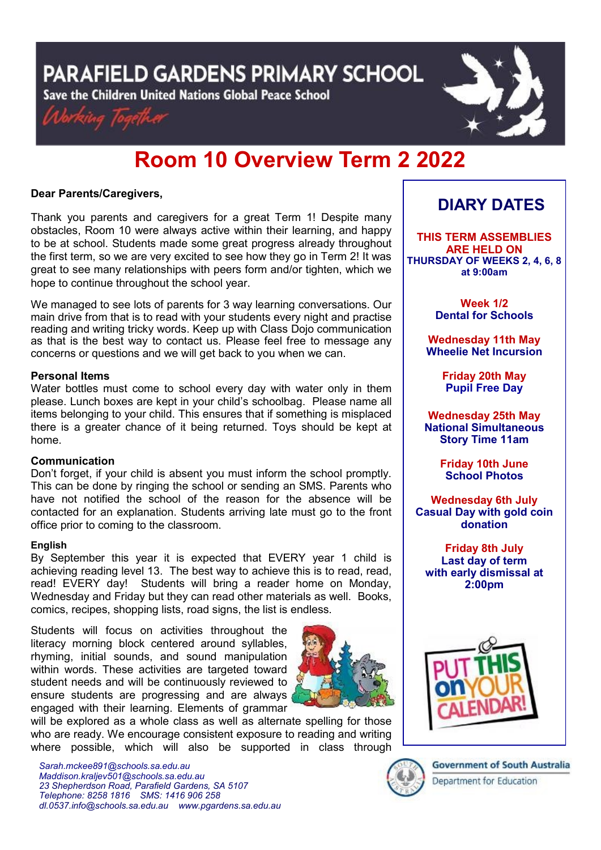PARAFIELD GARDENS PRIMARY SCHOOL

Save the Children United Nations Global Peace School





# **Room 10 Overview Term 2 2022**

#### **Dear Parents/Caregivers,**

Thank you parents and caregivers for a great Term 1! Despite many obstacles, Room 10 were always active within their learning, and happy to be at school. Students made some great progress already throughout the first term, so we are very excited to see how they go in Term 2! It was great to see many relationships with peers form and/or tighten, which we hope to continue throughout the school year.

We managed to see lots of parents for 3 way learning conversations. Our main drive from that is to read with your students every night and practise reading and writing tricky words. Keep up with Class Dojo communication as that is the best way to contact us. Please feel free to message any concerns or questions and we will get back to you when we can.

#### **Personal Items**

Water bottles must come to school every day with water only in them please. Lunch boxes are kept in your child's schoolbag. Please name all items belonging to your child. This ensures that if something is misplaced there is a greater chance of it being returned. Toys should be kept at home.

#### **Communication**

Don't forget, if your child is absent you must inform the school promptly. This can be done by ringing the school or sending an SMS. Parents who have not notified the school of the reason for the absence will be contacted for an explanation. Students arriving late must go to the front office prior to coming to the classroom.

#### **English**

By September this year it is expected that EVERY year 1 child is achieving reading level 13. The best way to achieve this is to read, read, read! EVERY day! Students will bring a reader home on Monday, Wednesday and Friday but they can read other materials as well. Books, comics, recipes, shopping lists, road signs, the list is endless.

Students will focus on activities throughout the literacy morning block centered around syllables, rhyming, initial sounds, and sound manipulation within words. These activities are targeted toward student needs and will be continuously reviewed to ensure students are progressing and are always engaged with their learning. Elements of grammar



will be explored as a whole class as well as alternate spelling for those who are ready. We encourage consistent exposure to reading and writing where possible, which will also be supported in class through

*Sarah.mckee891@schools.sa.edu.au Maddison.kraljev501@schools.sa.edu.au 23 Shepherdson Road, Parafield Gardens, SA 5107 Telephone: 8258 1816 [SMS:](http://www.youtube.com/user/ParafieldGR7) 1416 906 258 dl[.0537.info@schools.sa.edu.au](mailto:dl.0537_info@schools.sa.edu.au) www.pgardens.sa.edu.au*

### **DIARY DATES**

**THIS TERM ASSEMBLIES ARE HELD ON THURSDAY OF WEEKS 2, 4, 6, 8 at 9:00am** 

> **Week 1/2 Dental for Schools**

**Wednesday 11th May Wheelie Net Incursion**

> **Friday 20th May Pupil Free Day**

**Wednesday 25th May National Simultaneous Story Time 11am**

> **Friday 10th June School Photos**

**Wednesday 6th July Casual Day with gold coin donation**

**Friday 8th July Last day of term with early dismissal at 2:00pm**





**Government of South Australia** Department for Education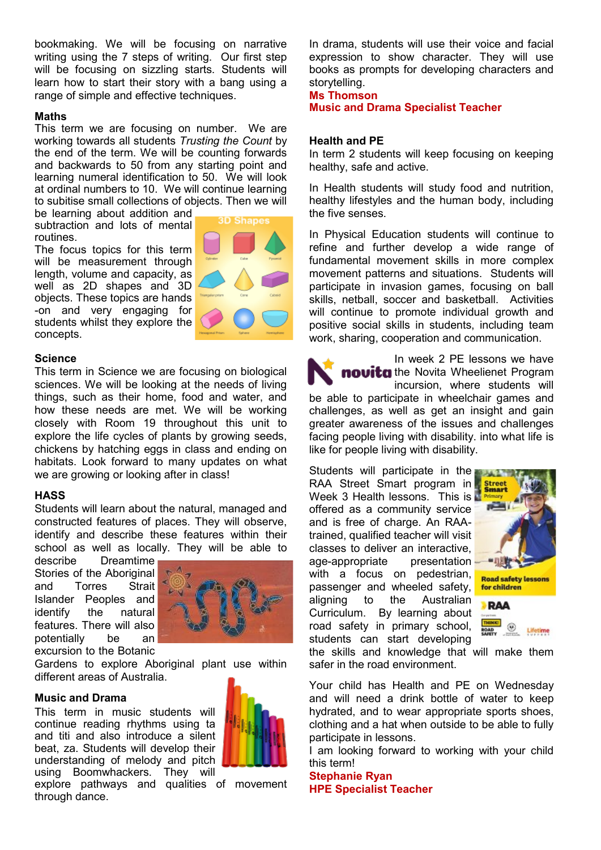bookmaking. We will be focusing on narrative writing using the 7 steps of writing. Our first step will be focusing on sizzling starts. Students will learn how to start their story with a bang using a range of simple and effective techniques.

#### **Maths**

This term we are focusing on number. We are working towards all students *Trusting the Count* by the end of the term. We will be counting forwards and backwards to 50 from any starting point and learning numeral identification to 50. We will look at ordinal numbers to 10. We will continue learning to subitise small collections of objects. Then we will

be learning about addition and subtraction and lots of mental routines.

The focus topics for this term will be measurement through length, volume and capacity, as well as 2D shapes and 3D objects. These topics are hands -on and very engaging for students whilst they explore the concepts.



#### **Science**

This term in Science we are focusing on biological sciences. We will be looking at the needs of living things, such as their home, food and water, and how these needs are met. We will be working closely with Room 19 throughout this unit to explore the life cycles of plants by growing seeds, chickens by hatching eggs in class and ending on habitats. Look forward to many updates on what we are growing or looking after in class!

#### **HASS**

Students will learn about the natural, managed and constructed features of places. They will observe, identify and describe these features within their school as well as locally. They will be able to

describe Dreamtime Stories of the Aboriginal and Torres Strait Islander Peoples and identify the natural features. There will also potentially be an excursion to the Botanic



Gardens to explore Aboriginal plant use within different areas of Australia.

#### **Music and Drama**

This term in music students will continue reading rhythms using ta and titi and also introduce a silent beat, za. Students will develop their understanding of melody and pitch using Boomwhackers. They will



explore pathways and qualities of movement through dance.

In drama, students will use their voice and facial expression to show character. They will use books as prompts for developing characters and storytelling.

#### **Ms Thomson Music and Drama Specialist Teacher**

#### **Health and PE**

In term 2 students will keep focusing on keeping healthy, safe and active.

In Health students will study food and nutrition, healthy lifestyles and the human body, including the five senses.

In Physical Education students will continue to refine and further develop a wide range of fundamental movement skills in more complex movement patterns and situations. Students will participate in invasion games, focusing on ball skills, netball, soccer and basketball. Activities will continue to promote individual growth and positive social skills in students, including team work, sharing, cooperation and communication.

In week 2 PE lessons we have novita the Novita Wheelienet Program incursion, where students will be able to participate in wheelchair games and challenges, as well as get an insight and gain greater awareness of the issues and challenges facing people living with disability. into what life is like for people living with disability.

Students will participate in the RAA Street Smart program in Week 3 Health lessons. This is offered as a community service and is free of charge. An RAAtrained, qualified teacher will visit classes to deliver an interactive, age-appropriate presentation with a focus on pedestrian, passenger and wheeled safety, aligning to the Australian Curriculum. By learning about road safety in primary school, students can start developing





the skills and knowledge that will make them safer in the road environment.

Your child has Health and PE on Wednesday and will need a drink bottle of water to keep hydrated, and to wear appropriate sports shoes, clothing and a hat when outside to be able to fully participate in lessons.

I am looking forward to working with your child this term!

**Stephanie Ryan HPE Specialist Teacher**